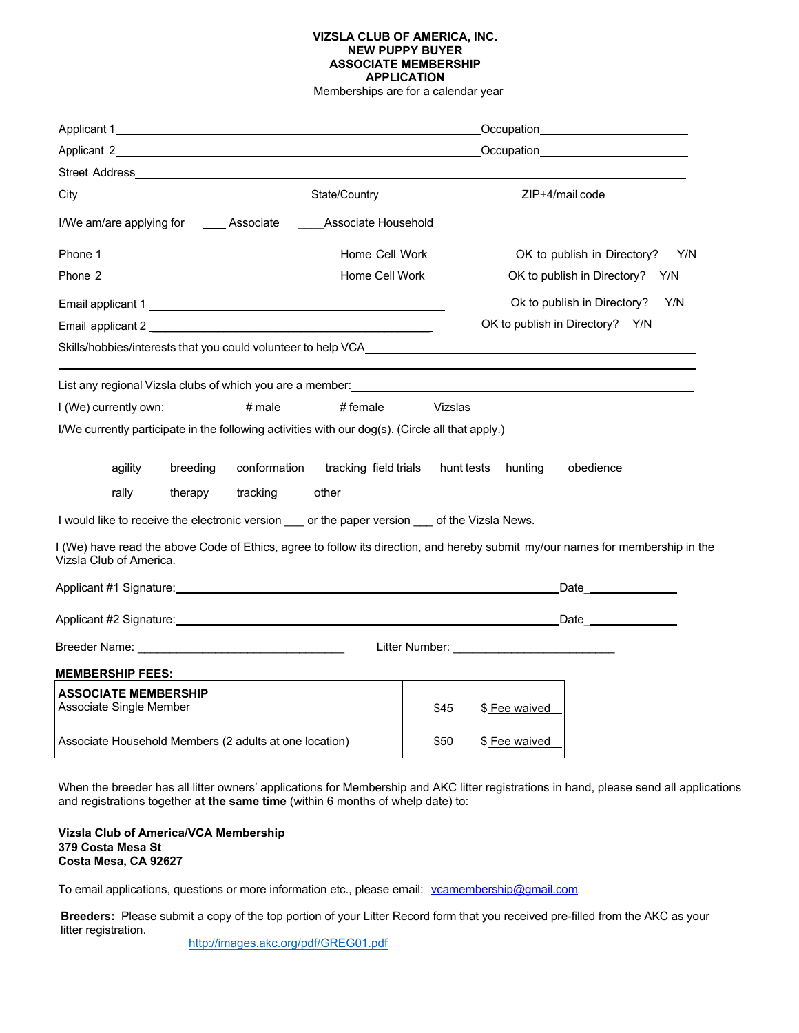## **VIZSLA CLUB OF AMERICA, INC. NEW PUPPY BUYER ASSOCIATE MEMBERSHIP APPLICATION**

Memberships are for a calendar year

|                                                        |                                                                                                                                                                                                                               |                       | Occupation_________________________ |                                    |                                                                                                                                |  |
|--------------------------------------------------------|-------------------------------------------------------------------------------------------------------------------------------------------------------------------------------------------------------------------------------|-----------------------|-------------------------------------|------------------------------------|--------------------------------------------------------------------------------------------------------------------------------|--|
|                                                        | Applicant 2<br>Occupation_________________________                                                                                                                                                                            |                       |                                     |                                    |                                                                                                                                |  |
|                                                        |                                                                                                                                                                                                                               |                       |                                     |                                    |                                                                                                                                |  |
|                                                        |                                                                                                                                                                                                                               |                       |                                     |                                    |                                                                                                                                |  |
|                                                        | I/We am/are applying for Associate Associate Household                                                                                                                                                                        |                       |                                     |                                    |                                                                                                                                |  |
|                                                        |                                                                                                                                                                                                                               | Home Cell Work        |                                     | OK to publish in Directory?<br>Y/N |                                                                                                                                |  |
| Phone 2 Phone 2                                        |                                                                                                                                                                                                                               | Home Cell Work        |                                     | OK to publish in Directory?<br>Y/N |                                                                                                                                |  |
|                                                        |                                                                                                                                                                                                                               |                       |                                     |                                    | Ok to publish in Directory?<br>Y/N                                                                                             |  |
|                                                        | Email applicant 2                                                                                                                                                                                                             |                       |                                     |                                    | OK to publish in Directory? Y/N                                                                                                |  |
|                                                        | Skills/hobbies/interests that you could volunteer to help VCA                                                                                                                                                                 |                       |                                     |                                    |                                                                                                                                |  |
|                                                        | List any regional Vizsla clubs of which you are a member: University of the control of the control of the control of the control of the control of the control of the control of the control of the control of the control of |                       |                                     |                                    |                                                                                                                                |  |
| I (We) currently own:                                  | $#$ male                                                                                                                                                                                                                      | $#$ female            | Vizslas                             |                                    |                                                                                                                                |  |
|                                                        | I/We currently participate in the following activities with our dog(s). (Circle all that apply.)                                                                                                                              |                       |                                     |                                    |                                                                                                                                |  |
| agility                                                | conformation<br>breeding                                                                                                                                                                                                      | tracking field trials | hunt tests                          | hunting                            | obedience                                                                                                                      |  |
| rally                                                  | tracking<br>therapy                                                                                                                                                                                                           | other                 |                                     |                                    |                                                                                                                                |  |
|                                                        | I would like to receive the electronic version ___ or the paper version ___ of the Vizsla News.                                                                                                                               |                       |                                     |                                    |                                                                                                                                |  |
| Vizsla Club of America.                                |                                                                                                                                                                                                                               |                       |                                     |                                    | I (We) have read the above Code of Ethics, agree to follow its direction, and hereby submit my/our names for membership in the |  |
|                                                        |                                                                                                                                                                                                                               |                       |                                     |                                    | _Date ____________                                                                                                             |  |
|                                                        |                                                                                                                                                                                                                               |                       |                                     |                                    |                                                                                                                                |  |
|                                                        |                                                                                                                                                                                                                               |                       |                                     |                                    |                                                                                                                                |  |
| <b>MEMBERSHIP FEES:</b>                                |                                                                                                                                                                                                                               |                       |                                     |                                    |                                                                                                                                |  |
| <b>ASSOCIATE MEMBERSHIP</b><br>Associate Single Member |                                                                                                                                                                                                                               |                       | \$45                                | \$ Fee waived                      |                                                                                                                                |  |
| Associate Household Members (2 adults at one location) |                                                                                                                                                                                                                               |                       | \$50                                | \$ Fee waived                      |                                                                                                                                |  |

When the breeder has all litter owners' applications for Membership and AKC litter registrations in hand, please send all applications and registrations together **at the same time** (within 6 months of whelp date) to:

**Vizsla Club of America/VCA Membership 379 Costa Mesa St Costa Mesa, CA 92627** 

To email applications, questions or more information etc., please email: vcamembership@gmail.com

 **Breeders:** Please submit a copy of the top portion of your Litter Record form that you received pre-filled from the AKC as your litter registration.

http://images.akc.org/pdf/GREG01.pdf